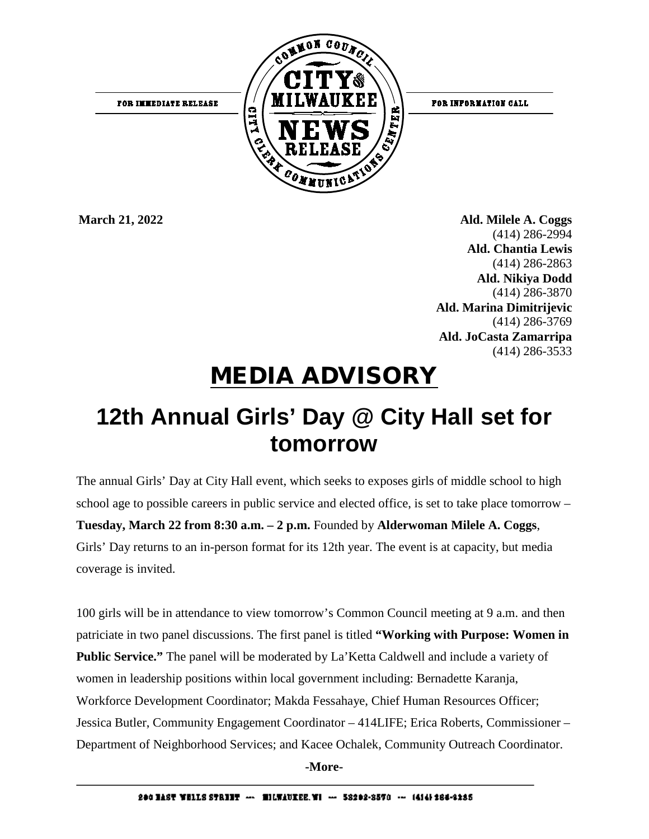

**March 21, 2022 Ald. Milele A. Coggs** (414) 286-2994 **Ald. Chantia Lewis** (414) 286-2863  **Ald. Nikiya Dodd** (414) 286-3870  **Ald. Marina Dimitrijevic** (414) 286-3769  **Ald. JoCasta Zamarripa** (414) 286-3533

## MEDIA ADVISORY

## **12th Annual Girls' Day @ City Hall set for tomorrow**

The annual Girls' Day at City Hall event, which seeks to exposes girls of middle school to high school age to possible careers in public service and elected office, is set to take place tomorrow – **Tuesday, March 22 from 8:30 a.m. – 2 p.m.** Founded by **Alderwoman Milele A. Coggs**, Girls' Day returns to an in-person format for its 12th year. The event is at capacity, but media coverage is invited.

100 girls will be in attendance to view tomorrow's Common Council meeting at 9 a.m. and then patriciate in two panel discussions. The first panel is titled **"Working with Purpose: Women in Public Service."** The panel will be moderated by La'Ketta Caldwell and include a variety of women in leadership positions within local government including: Bernadette Karanja, Workforce Development Coordinator; Makda Fessahaye, Chief Human Resources Officer; Jessica Butler, Community Engagement Coordinator – 414LIFE; Erica Roberts, Commissioner – Department of Neighborhood Services; and Kacee Ochalek, Community Outreach Coordinator.

**-More-**